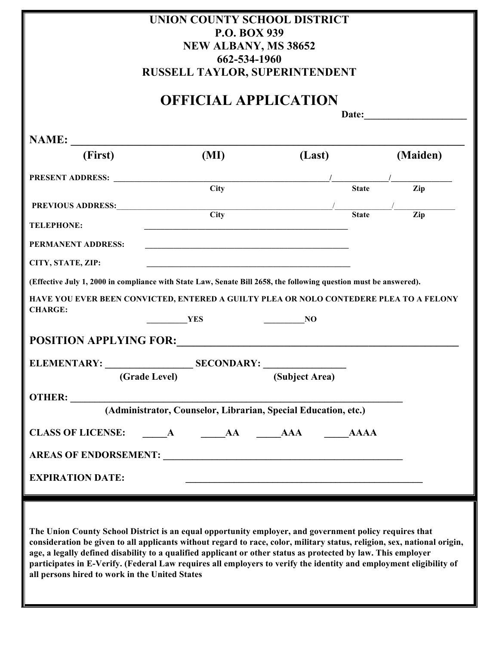| UNION COUNTY SCHOOL DISTRICT                                                                                                                                         |                                                                                                                                                                                                                                    |                                                                  |               |                        |
|----------------------------------------------------------------------------------------------------------------------------------------------------------------------|------------------------------------------------------------------------------------------------------------------------------------------------------------------------------------------------------------------------------------|------------------------------------------------------------------|---------------|------------------------|
|                                                                                                                                                                      | <b>P.O. BOX 939</b><br><b>NEW ALBANY, MS 38652</b>                                                                                                                                                                                 |                                                                  |               |                        |
|                                                                                                                                                                      | 662-534-1960                                                                                                                                                                                                                       |                                                                  |               |                        |
|                                                                                                                                                                      | RUSSELL TAYLOR, SUPERINTENDENT                                                                                                                                                                                                     |                                                                  |               |                        |
|                                                                                                                                                                      | <b>OFFICIAL APPLICATION</b>                                                                                                                                                                                                        |                                                                  |               |                        |
|                                                                                                                                                                      |                                                                                                                                                                                                                                    |                                                                  |               |                        |
|                                                                                                                                                                      |                                                                                                                                                                                                                                    |                                                                  |               |                        |
| (First)                                                                                                                                                              | (MI)                                                                                                                                                                                                                               | (Last)                                                           |               | (Maiden)               |
|                                                                                                                                                                      |                                                                                                                                                                                                                                    |                                                                  | $\frac{1}{2}$ |                        |
|                                                                                                                                                                      | <b>City</b>                                                                                                                                                                                                                        |                                                                  | <b>State</b>  | Zip                    |
|                                                                                                                                                                      | PREVIOUS ADDRESS:<br>City                                                                                                                                                                                                          |                                                                  | <b>State</b>  | $\frac{1}{\text{Zip}}$ |
| <b>TELEPHONE:</b>                                                                                                                                                    | <u> 1989 - Johann John Stone, meil in der Stone aus der Stone aus der Stone aus der Stone aus der Stone aus der S</u>                                                                                                              |                                                                  |               |                        |
| <b>PERMANENT ADDRESS:</b>                                                                                                                                            |                                                                                                                                                                                                                                    |                                                                  |               |                        |
| CITY, STATE, ZIP:                                                                                                                                                    |                                                                                                                                                                                                                                    |                                                                  |               |                        |
|                                                                                                                                                                      | (Effective July 1, 2000 in compliance with State Law, Senate Bill 2658, the following question must be answered).                                                                                                                  |                                                                  |               |                        |
|                                                                                                                                                                      | HAVE YOU EVER BEEN CONVICTED, ENTERED A GUILTY PLEA OR NOLO CONTEDERE PLEA TO A FELONY                                                                                                                                             |                                                                  |               |                        |
| <b>CHARGE:</b>                                                                                                                                                       | <b>YES</b>                                                                                                                                                                                                                         | <b>NO</b>                                                        |               |                        |
|                                                                                                                                                                      | POSITION APPLYING FOR: POSITION                                                                                                                                                                                                    |                                                                  |               |                        |
|                                                                                                                                                                      | ELEMENTARY: SECONDARY:                                                                                                                                                                                                             |                                                                  |               |                        |
|                                                                                                                                                                      | (Grade Level)                                                                                                                                                                                                                      | (Subject Area)                                                   |               |                        |
|                                                                                                                                                                      |                                                                                                                                                                                                                                    |                                                                  |               |                        |
|                                                                                                                                                                      | (Administrator, Counselor, Librarian, Special Education, etc.)                                                                                                                                                                     |                                                                  |               |                        |
|                                                                                                                                                                      | CLASS OF LICENSE: A AA AAA AAAA AAA                                                                                                                                                                                                |                                                                  |               |                        |
|                                                                                                                                                                      | AREAS OF ENDORSEMENT: VALUE AND THE SERIES OF ENDORSEMENT:                                                                                                                                                                         |                                                                  |               |                        |
| <b>EXPIRATION DATE:</b>                                                                                                                                              |                                                                                                                                                                                                                                    | <u> 1989 - Jan James James Barnett, fransk politik (d. 1989)</u> |               |                        |
|                                                                                                                                                                      |                                                                                                                                                                                                                                    |                                                                  |               |                        |
|                                                                                                                                                                      |                                                                                                                                                                                                                                    |                                                                  |               |                        |
|                                                                                                                                                                      | The Union County School District is an equal opportunity employer, and government policy requires that<br>consideration be given to all applicants without regard to race, color, military status, religion, sex, national origin, |                                                                  |               |                        |
|                                                                                                                                                                      | age, a legally defined disability to a qualified applicant or other status as protected by law. This employer                                                                                                                      |                                                                  |               |                        |
| participates in E-Verify. (Federal Law requires all employers to verify the identity and employment eligibility of<br>all persons hired to work in the United States |                                                                                                                                                                                                                                    |                                                                  |               |                        |
|                                                                                                                                                                      |                                                                                                                                                                                                                                    |                                                                  |               |                        |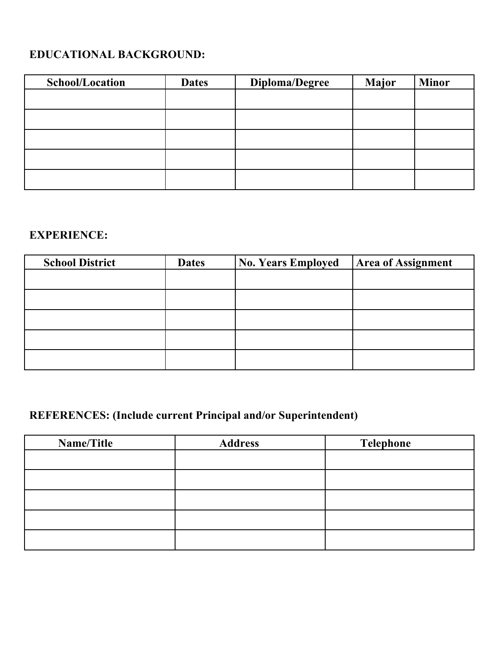## **EDUCATIONAL BACKGROUND:**

| School/Location | <b>Dates</b> | Diploma/Degree | <b>Major</b> | <b>Minor</b> |
|-----------------|--------------|----------------|--------------|--------------|
|                 |              |                |              |              |
|                 |              |                |              |              |
|                 |              |                |              |              |
|                 |              |                |              |              |
|                 |              |                |              |              |
|                 |              |                |              |              |

## **EXPERIENCE:**

| <b>School District</b> | <b>Dates</b> | <b>No. Years Employed</b> | <b>Area of Assignment</b> |
|------------------------|--------------|---------------------------|---------------------------|
|                        |              |                           |                           |
|                        |              |                           |                           |
|                        |              |                           |                           |
|                        |              |                           |                           |
|                        |              |                           |                           |

## **REFERENCES: (Include current Principal and/or Superintendent)**

| Name/Title | <b>Address</b> | <b>Telephone</b> |
|------------|----------------|------------------|
|            |                |                  |
|            |                |                  |
|            |                |                  |
|            |                |                  |
|            |                |                  |